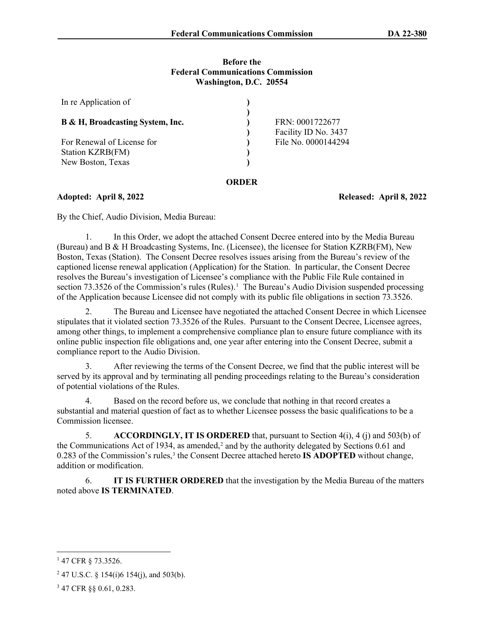#### **Before the Federal Communications Commission Washington, D.C. 20554**

| In re Application of                           |       |                                         |
|------------------------------------------------|-------|-----------------------------------------|
| B & H, Broadcasting System, Inc.               |       | FRN: 0001722677<br>Facility ID No. 3437 |
| For Renewal of License for<br>Station KZRB(FM) |       | File No. 0000144294                     |
| New Boston, Texas                              | `KDER |                                         |

**Adopted: April 8, 2022 Released: April 8, 2022**

By the Chief, Audio Division, Media Bureau:

1. In this Order, we adopt the attached Consent Decree entered into by the Media Bureau (Bureau) and B & H Broadcasting Systems, Inc. (Licensee), the licensee for Station KZRB(FM), New Boston, Texas (Station). The Consent Decree resolves issues arising from the Bureau's review of the captioned license renewal application (Application) for the Station. In particular, the Consent Decree resolves the Bureau's investigation of Licensee's compliance with the Public File Rule contained in section 73.3526 of the Commission's rules (Rules).<sup>[1](#page-0-0)</sup> The Bureau's Audio Division suspended processing of the Application because Licensee did not comply with its public file obligations in section 73.3526.

The Bureau and Licensee have negotiated the attached Consent Decree in which Licensee stipulates that it violated section 73.3526 of the Rules. Pursuant to the Consent Decree, Licensee agrees, among other things, to implement a comprehensive compliance plan to ensure future compliance with its online public inspection file obligations and, one year after entering into the Consent Decree, submit a compliance report to the Audio Division.

3. After reviewing the terms of the Consent Decree, we find that the public interest will be served by its approval and by terminating all pending proceedings relating to the Bureau's consideration of potential violations of the Rules.

4. Based on the record before us, we conclude that nothing in that record creates a substantial and material question of fact as to whether Licensee possess the basic qualifications to be a Commission licensee.

5. **ACCORDINGLY, IT IS ORDERED** that, pursuant to Section 4(i), 4 (j) and 503(b) of the Communications Act of 1934, as amended,<sup>[2](#page-0-1)</sup> and by the authority delegated by Sections  $0.61$  and 0.28[3](#page-0-2) of the Commission's rules,<sup>3</sup> the Consent Decree attached hereto **IS ADOPTED** without change, addition or modification.

6. **IT IS FURTHER ORDERED** that the investigation by the Media Bureau of the matters noted above **IS TERMINATED**.

<span id="page-0-0"></span><sup>1</sup> 47 CFR § 73.3526.

<span id="page-0-1"></span><sup>&</sup>lt;sup>2</sup> 47 U.S.C. § 154(i)6 154(j), and 503(b).

<span id="page-0-2"></span><sup>3</sup> 47 CFR §§ 0.61, 0.283.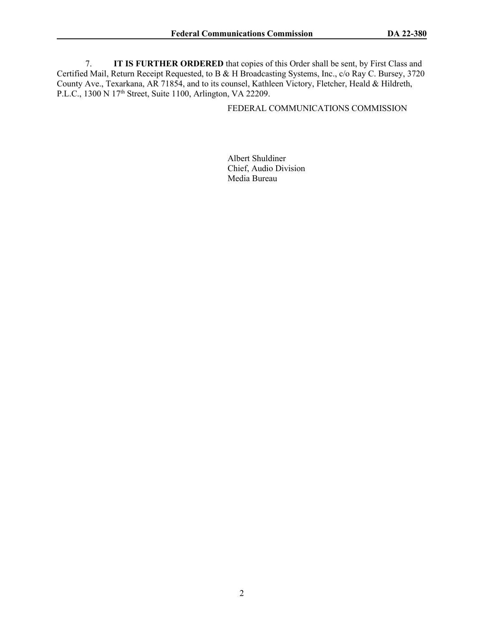7. **IT IS FURTHER ORDERED** that copies of this Order shall be sent, by First Class and Certified Mail, Return Receipt Requested, to B & H Broadcasting Systems, Inc., c/o Ray C. Bursey, 3720 County Ave., Texarkana, AR 71854, and to its counsel, Kathleen Victory, Fletcher, Heald & Hildreth, P.L.C., 1300 N 17th Street, Suite 1100, Arlington, VA 22209.

### FEDERAL COMMUNICATIONS COMMISSION

Albert Shuldiner Chief, Audio Division Media Bureau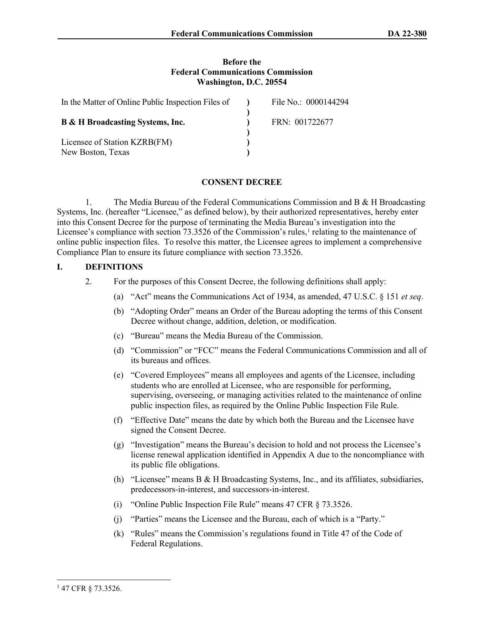#### **Before the Federal Communications Commission Washington, D.C. 20554**

| In the Matter of Online Public Inspection Files of | File No.: 0000144294 |
|----------------------------------------------------|----------------------|
| <b>B &amp; H Broadcasting Systems, Inc.</b>        | FRN: 001722677       |
| Licensee of Station KZRB(FM)                       |                      |
| New Boston, Texas                                  |                      |

#### **CONSENT DECREE**

1. The Media Bureau of the Federal Communications Commission and B & H Broadcasting Systems, Inc. (hereafter "Licensee," as defined below), by their authorized representatives, hereby enter into this Consent Decree for the purpose of terminating the Media Bureau's investigation into the Licensee's compliance with section 73.3526 of the Commission's rules, $\frac{1}{1}$  $\frac{1}{1}$  $\frac{1}{1}$  relating to the maintenance of online public inspection files. To resolve this matter, the Licensee agrees to implement a comprehensive Compliance Plan to ensure its future compliance with section 73.3526.

#### **I. DEFINITIONS**

- 2. For the purposes of this Consent Decree, the following definitions shall apply:
	- (a) "Act" means the Communications Act of 1934, as amended, 47 U.S.C. § 151 *et seq*.
	- (b) "Adopting Order" means an Order of the Bureau adopting the terms of this Consent Decree without change, addition, deletion, or modification.
	- (c) "Bureau" means the Media Bureau of the Commission.
	- (d) "Commission" or "FCC" means the Federal Communications Commission and all of its bureaus and offices.
	- (e) "Covered Employees" means all employees and agents of the Licensee, including students who are enrolled at Licensee, who are responsible for performing, supervising, overseeing, or managing activities related to the maintenance of online public inspection files, as required by the Online Public Inspection File Rule.
	- (f) "Effective Date" means the date by which both the Bureau and the Licensee have signed the Consent Decree.
	- (g) "Investigation" means the Bureau's decision to hold and not process the Licensee's license renewal application identified in Appendix A due to the noncompliance with its public file obligations.
	- (h) "Licensee" means B & H Broadcasting Systems, Inc., and its affiliates, subsidiaries, predecessors-in-interest, and successors-in-interest.
	- (i) "Online Public Inspection File Rule" means 47 CFR § 73.3526.
	- (j) "Parties" means the Licensee and the Bureau, each of which is a "Party."
	- (k) "Rules" means the Commission's regulations found in Title 47 of the Code of Federal Regulations.

<span id="page-2-0"></span><sup>1</sup> 47 CFR § 73.3526.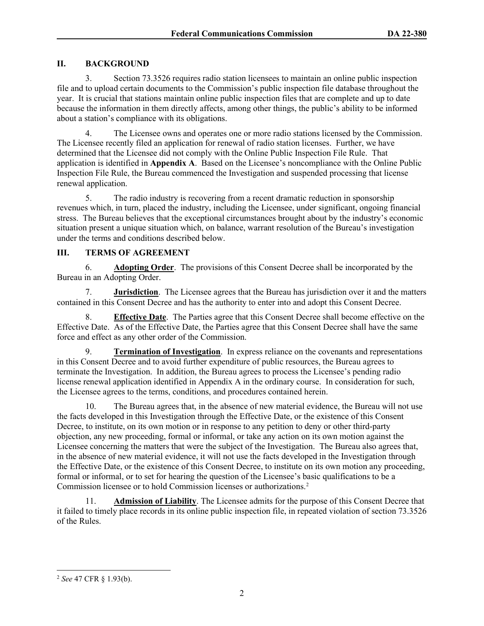#### **II. BACKGROUND**

3. Section 73.3526 requires radio station licensees to maintain an online public inspection file and to upload certain documents to the Commission's public inspection file database throughout the year. It is crucial that stations maintain online public inspection files that are complete and up to date because the information in them directly affects, among other things, the public's ability to be informed about a station's compliance with its obligations.

4. The Licensee owns and operates one or more radio stations licensed by the Commission. The Licensee recently filed an application for renewal of radio station licenses. Further, we have determined that the Licensee did not comply with the Online Public Inspection File Rule. That application is identified in **Appendix A**. Based on the Licensee's noncompliance with the Online Public Inspection File Rule, the Bureau commenced the Investigation and suspended processing that license renewal application.

5. The radio industry is recovering from a recent dramatic reduction in sponsorship revenues which, in turn, placed the industry, including the Licensee, under significant, ongoing financial stress. The Bureau believes that the exceptional circumstances brought about by the industry's economic situation present a unique situation which, on balance, warrant resolution of the Bureau's investigation under the terms and conditions described below.

#### **III. TERMS OF AGREEMENT**

6. **Adopting Order**.The provisions of this Consent Decree shall be incorporated by the Bureau in an Adopting Order.

7. **Jurisdiction**. The Licensee agrees that the Bureau has jurisdiction over it and the matters contained in this Consent Decree and has the authority to enter into and adopt this Consent Decree.

8. **Effective Date**. The Parties agree that this Consent Decree shall become effective on the Effective Date. As of the Effective Date, the Parties agree that this Consent Decree shall have the same force and effect as any other order of the Commission.

9. **Termination of Investigation**.In express reliance on the covenants and representations in this Consent Decree and to avoid further expenditure of public resources, the Bureau agrees to terminate the Investigation. In addition, the Bureau agrees to process the Licensee's pending radio license renewal application identified in Appendix A in the ordinary course. In consideration for such, the Licensee agrees to the terms, conditions, and procedures contained herein.

10. The Bureau agrees that, in the absence of new material evidence, the Bureau will not use the facts developed in this Investigation through the Effective Date, or the existence of this Consent Decree, to institute, on its own motion or in response to any petition to deny or other third-party objection, any new proceeding, formal or informal, or take any action on its own motion against the Licensee concerning the matters that were the subject of the Investigation. The Bureau also agrees that, in the absence of new material evidence, it will not use the facts developed in the Investigation through the Effective Date, or the existence of this Consent Decree, to institute on its own motion any proceeding, formal or informal, or to set for hearing the question of the Licensee's basic qualifications to be a Commission licensee or to hold Commission licenses or authorizations[.2](#page-3-0)

11. **Admission of Liability**. The Licensee admits for the purpose of this Consent Decree that it failed to timely place records in its online public inspection file, in repeated violation of section 73.3526 of the Rules.

<span id="page-3-0"></span><sup>2</sup> *See* 47 CFR § 1.93(b).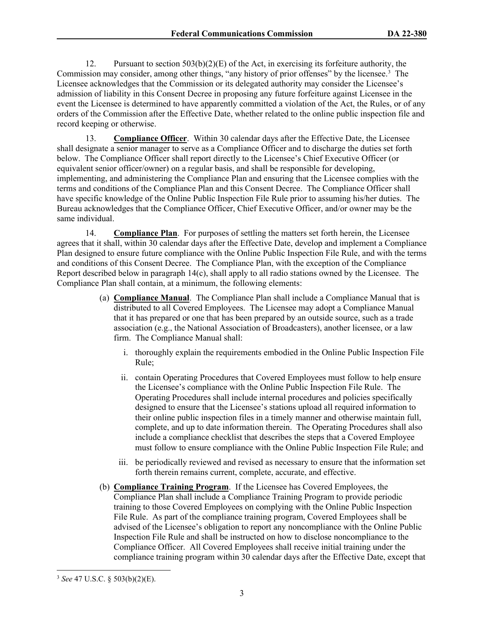12. Pursuant to section  $503(b)(2)(E)$  of the Act, in exercising its forfeiture authority, the Commission may consider, among other things, "any history of prior offenses" by the licensee.<sup>[3](#page-4-0)</sup> The Licensee acknowledges that the Commission or its delegated authority may consider the Licensee's admission of liability in this Consent Decree in proposing any future forfeiture against Licensee in the event the Licensee is determined to have apparently committed a violation of the Act, the Rules, or of any orders of the Commission after the Effective Date, whether related to the online public inspection file and record keeping or otherwise.

13. **Compliance Officer**. Within 30 calendar days after the Effective Date, the Licensee shall designate a senior manager to serve as a Compliance Officer and to discharge the duties set forth below. The Compliance Officer shall report directly to the Licensee's Chief Executive Officer (or equivalent senior officer/owner) on a regular basis, and shall be responsible for developing, implementing, and administering the Compliance Plan and ensuring that the Licensee complies with the terms and conditions of the Compliance Plan and this Consent Decree. The Compliance Officer shall have specific knowledge of the Online Public Inspection File Rule prior to assuming his/her duties. The Bureau acknowledges that the Compliance Officer, Chief Executive Officer, and/or owner may be the same individual.

14. **Compliance Plan**. For purposes of settling the matters set forth herein, the Licensee agrees that it shall, within 30 calendar days after the Effective Date, develop and implement a Compliance Plan designed to ensure future compliance with the Online Public Inspection File Rule, and with the terms and conditions of this Consent Decree. The Compliance Plan, with the exception of the Compliance Report described below in paragraph 14(c), shall apply to all radio stations owned by the Licensee. The Compliance Plan shall contain, at a minimum, the following elements:

- (a) **Compliance Manual**. The Compliance Plan shall include a Compliance Manual that is distributed to all Covered Employees. The Licensee may adopt a Compliance Manual that it has prepared or one that has been prepared by an outside source, such as a trade association (e.g., the National Association of Broadcasters), another licensee, or a law firm. The Compliance Manual shall:
	- i. thoroughly explain the requirements embodied in the Online Public Inspection File Rule;
	- ii. contain Operating Procedures that Covered Employees must follow to help ensure the Licensee's compliance with the Online Public Inspection File Rule. The Operating Procedures shall include internal procedures and policies specifically designed to ensure that the Licensee's stations upload all required information to their online public inspection files in a timely manner and otherwise maintain full, complete, and up to date information therein. The Operating Procedures shall also include a compliance checklist that describes the steps that a Covered Employee must follow to ensure compliance with the Online Public Inspection File Rule; and
	- iii. be periodically reviewed and revised as necessary to ensure that the information set forth therein remains current, complete, accurate, and effective.
- (b) **Compliance Training Program**. If the Licensee has Covered Employees, the Compliance Plan shall include a Compliance Training Program to provide periodic training to those Covered Employees on complying with the Online Public Inspection File Rule. As part of the compliance training program, Covered Employees shall be advised of the Licensee's obligation to report any noncompliance with the Online Public Inspection File Rule and shall be instructed on how to disclose noncompliance to the Compliance Officer. All Covered Employees shall receive initial training under the compliance training program within 30 calendar days after the Effective Date, except that

<span id="page-4-0"></span><sup>3</sup> *See* 47 U.S.C. § 503(b)(2)(E).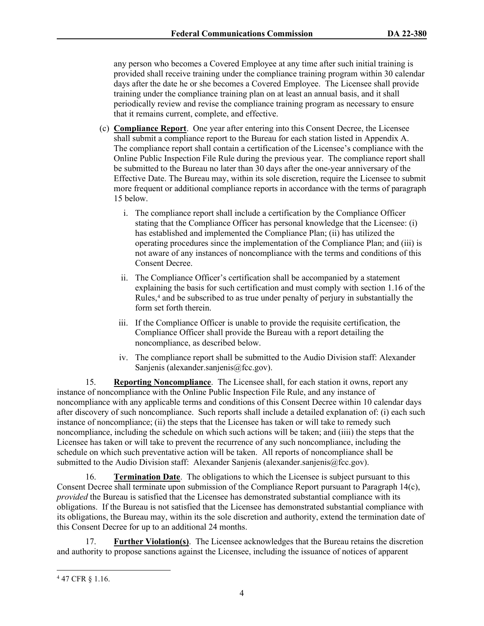any person who becomes a Covered Employee at any time after such initial training is provided shall receive training under the compliance training program within 30 calendar days after the date he or she becomes a Covered Employee. The Licensee shall provide training under the compliance training plan on at least an annual basis, and it shall periodically review and revise the compliance training program as necessary to ensure that it remains current, complete, and effective.

- (c) **Compliance Report**. One year after entering into this Consent Decree, the Licensee shall submit a compliance report to the Bureau for each station listed in Appendix A. The compliance report shall contain a certification of the Licensee's compliance with the Online Public Inspection File Rule during the previous year. The compliance report shall be submitted to the Bureau no later than 30 days after the one-year anniversary of the Effective Date. The Bureau may, within its sole discretion, require the Licensee to submit more frequent or additional compliance reports in accordance with the terms of paragraph 15 below.
	- i. The compliance report shall include a certification by the Compliance Officer stating that the Compliance Officer has personal knowledge that the Licensee: (i) has established and implemented the Compliance Plan; (ii) has utilized the operating procedures since the implementation of the Compliance Plan; and (iii) is not aware of any instances of noncompliance with the terms and conditions of this Consent Decree.
	- ii. The Compliance Officer's certification shall be accompanied by a statement explaining the basis for such certification and must comply with section 1.16 of the Rules,<sup>[4](#page-5-0)</sup> and be subscribed to as true under penalty of perjury in substantially the form set forth therein.
	- iii. If the Compliance Officer is unable to provide the requisite certification, the Compliance Officer shall provide the Bureau with a report detailing the noncompliance, as described below.
	- iv. The compliance report shall be submitted to the Audio Division staff: Alexander Sanjenis (alexander.sanjenis@fcc.gov).

15. **Reporting Noncompliance**. The Licensee shall, for each station it owns, report any instance of noncompliance with the Online Public Inspection File Rule, and any instance of noncompliance with any applicable terms and conditions of this Consent Decree within 10 calendar days after discovery of such noncompliance. Such reports shall include a detailed explanation of: (i) each such instance of noncompliance; (ii) the steps that the Licensee has taken or will take to remedy such noncompliance, including the schedule on which such actions will be taken; and (iiii) the steps that the Licensee has taken or will take to prevent the recurrence of any such noncompliance, including the schedule on which such preventative action will be taken. All reports of noncompliance shall be submitted to the Audio Division staff: Alexander Sanjenis (alexander sanjenis @fcc.gov).

16. **Termination Date**. The obligations to which the Licensee is subject pursuant to this Consent Decree shall terminate upon submission of the Compliance Report pursuant to Paragraph 14(c), *provided* the Bureau is satisfied that the Licensee has demonstrated substantial compliance with its obligations. If the Bureau is not satisfied that the Licensee has demonstrated substantial compliance with its obligations, the Bureau may, within its the sole discretion and authority, extend the termination date of this Consent Decree for up to an additional 24 months.

17. **Further Violation(s)**. The Licensee acknowledges that the Bureau retains the discretion and authority to propose sanctions against the Licensee, including the issuance of notices of apparent

<span id="page-5-0"></span><sup>4</sup> 47 CFR § 1.16.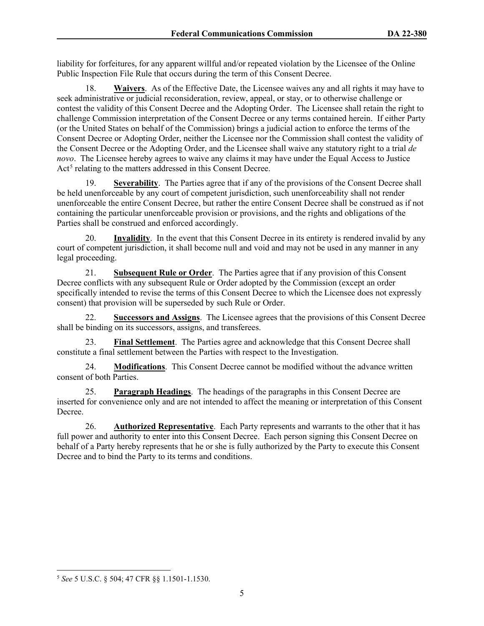liability for forfeitures, for any apparent willful and/or repeated violation by the Licensee of the Online Public Inspection File Rule that occurs during the term of this Consent Decree.

18. **Waivers**. As of the Effective Date, the Licensee waives any and all rights it may have to seek administrative or judicial reconsideration, review, appeal, or stay, or to otherwise challenge or contest the validity of this Consent Decree and the Adopting Order. The Licensee shall retain the right to challenge Commission interpretation of the Consent Decree or any terms contained herein. If either Party (or the United States on behalf of the Commission) brings a judicial action to enforce the terms of the Consent Decree or Adopting Order, neither the Licensee nor the Commission shall contest the validity of the Consent Decree or the Adopting Order, and the Licensee shall waive any statutory right to a trial *de novo*. The Licensee hereby agrees to waive any claims it may have under the Equal Access to Justice Act<sup>[5](#page-6-0)</sup> relating to the matters addressed in this Consent Decree.

19. **Severability**. The Parties agree that if any of the provisions of the Consent Decree shall be held unenforceable by any court of competent jurisdiction, such unenforceability shall not render unenforceable the entire Consent Decree, but rather the entire Consent Decree shall be construed as if not containing the particular unenforceable provision or provisions, and the rights and obligations of the Parties shall be construed and enforced accordingly.

20. **Invalidity**. In the event that this Consent Decree in its entirety is rendered invalid by any court of competent jurisdiction, it shall become null and void and may not be used in any manner in any legal proceeding.

21. **Subsequent Rule or Order**. The Parties agree that if any provision of this Consent Decree conflicts with any subsequent Rule or Order adopted by the Commission (except an order specifically intended to revise the terms of this Consent Decree to which the Licensee does not expressly consent) that provision will be superseded by such Rule or Order.

22. **Successors and Assigns**.The Licensee agrees that the provisions of this Consent Decree shall be binding on its successors, assigns, and transferees.

23. **Final Settlement**. The Parties agree and acknowledge that this Consent Decree shall constitute a final settlement between the Parties with respect to the Investigation.

24. **Modifications**. This Consent Decree cannot be modified without the advance written consent of both Parties.

25. **Paragraph Headings**. The headings of the paragraphs in this Consent Decree are inserted for convenience only and are not intended to affect the meaning or interpretation of this Consent Decree.

26. **Authorized Representative**. Each Party represents and warrants to the other that it has full power and authority to enter into this Consent Decree. Each person signing this Consent Decree on behalf of a Party hereby represents that he or she is fully authorized by the Party to execute this Consent Decree and to bind the Party to its terms and conditions.

<span id="page-6-0"></span><sup>5</sup> *See* 5 U.S.C. § 504; 47 CFR §§ 1.1501-1.1530.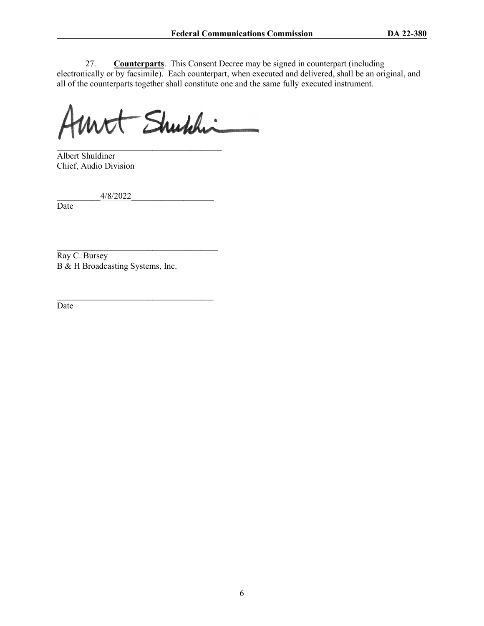27. **Counterparts**. This Consent Decree may be signed in counterpart (including electronically or by facsimile). Each counterpart, when executed and delivered, shall be an original, and all of the counterparts together shall constitute one and the same fully executed instrument.

Mrt Shuhhi

\_\_\_\_\_\_\_\_\_\_\_\_\_\_\_\_\_\_\_\_\_\_\_\_\_\_\_\_\_\_\_\_\_\_\_\_\_\_ Albert Shuldiner Chief, Audio Division

\_\_\_\_\_\_\_\_\_\_4/8/2022\_\_\_\_\_\_\_\_\_\_\_\_\_\_\_\_\_\_\_

Date

Ray C. Bursey B & H Broadcasting Systems, Inc.

\_\_\_\_\_\_\_\_\_\_\_\_\_\_\_\_\_\_\_\_\_\_\_\_\_\_\_\_\_\_\_\_\_\_\_\_\_

\_\_\_\_\_\_\_\_\_\_\_\_\_\_\_\_\_\_\_\_\_\_\_\_\_\_\_\_\_\_\_\_\_\_\_\_

Date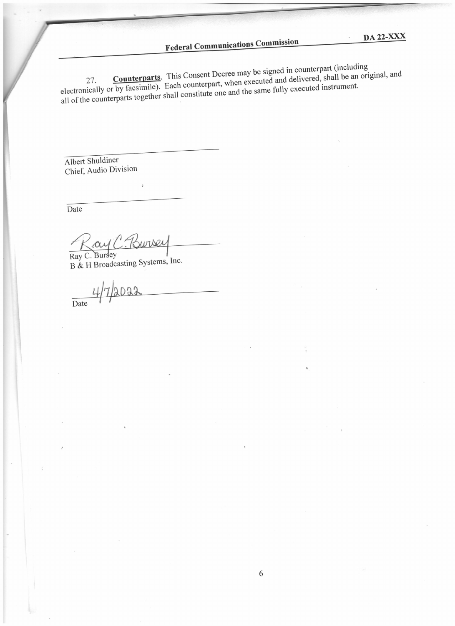# **Federal Communications Commission**

**Counterparts**. This Consent Decree may be signed in counterpart (including electronically or by facsimile). Each counterpart, when executed and delivered, shall be an original, and all of the counterparts together shall constitute one and the same fully executed instrument.

Albert Shuldiner Chief, Audio Division

Date

ay C. Bursey Ray C. Bursey

B & H Broadcasting Systems, Inc.

4/7/2022 Date